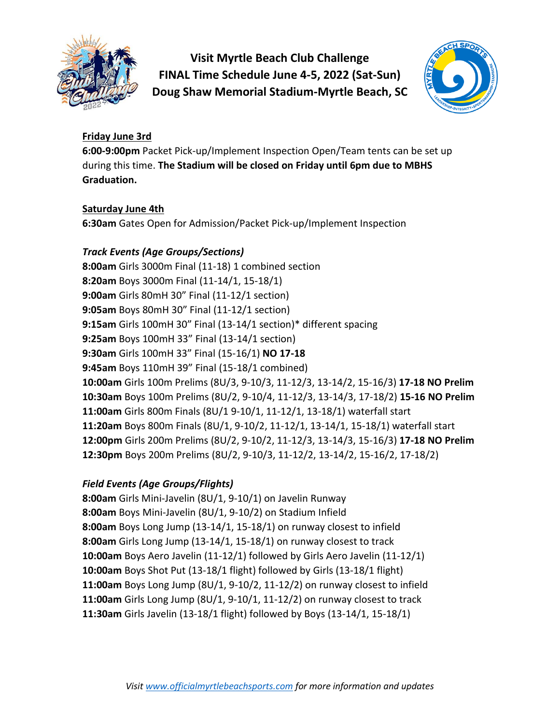

**Visit Myrtle Beach Club Challenge FINAL Time Schedule June 4-5, 2022 (Sat-Sun) Doug Shaw Memorial Stadium-Myrtle Beach, SC**



## **Friday June 3rd**

**6:00-9:00pm** Packet Pick-up/Implement Inspection Open/Team tents can be set up during this time. **The Stadium will be closed on Friday until 6pm due to MBHS Graduation.**

# **Saturday June 4th**

**6:30am** Gates Open for Admission/Packet Pick-up/Implement Inspection

# *Track Events (Age Groups/Sections)*

**8:00am** Girls 3000m Final (11-18) 1 combined section **8:20am** Boys 3000m Final (11-14/1, 15-18/1) **9:00am** Girls 80mH 30" Final (11-12/1 section) **9:05am** Boys 80mH 30" Final (11-12/1 section) **9:15am** Girls 100mH 30" Final (13-14/1 section)\* different spacing **9:25am** Boys 100mH 33" Final (13-14/1 section) **9:30am** Girls 100mH 33" Final (15-16/1) **NO 17-18 9:45am** Boys 110mH 39" Final (15-18/1 combined) **10:00am** Girls 100m Prelims (8U/3, 9-10/3, 11-12/3, 13-14/2, 15-16/3) **17-18 NO Prelim 10:30am** Boys 100m Prelims (8U/2, 9-10/4, 11-12/3, 13-14/3, 17-18/2) **15-16 NO Prelim 11:00am** Girls 800m Finals (8U/1 9-10/1, 11-12/1, 13-18/1) waterfall start **11:20am** Boys 800m Finals (8U/1, 9-10/2, 11-12/1, 13-14/1, 15-18/1) waterfall start **12:00pm** Girls 200m Prelims (8U/2, 9-10/2, 11-12/3, 13-14/3, 15-16/3) **17-18 NO Prelim 12:30pm** Boys 200m Prelims (8U/2, 9-10/3, 11-12/2, 13-14/2, 15-16/2, 17-18/2)

# *Field Events (Age Groups/Flights)*

**8:00am** Girls Mini-Javelin (8U/1, 9-10/1) on Javelin Runway **8:00am** Boys Mini-Javelin (8U/1, 9-10/2) on Stadium Infield **8:00am** Boys Long Jump (13-14/1, 15-18/1) on runway closest to infield **8:00am** Girls Long Jump (13-14/1, 15-18/1) on runway closest to track **10:00am** Boys Aero Javelin (11-12/1) followed by Girls Aero Javelin (11-12/1) **10:00am** Boys Shot Put (13-18/1 flight) followed by Girls (13-18/1 flight) **11:00am** Boys Long Jump (8U/1, 9-10/2, 11-12/2) on runway closest to infield **11:00am** Girls Long Jump (8U/1, 9-10/1, 11-12/2) on runway closest to track **11:30am** Girls Javelin (13-18/1 flight) followed by Boys (13-14/1, 15-18/1)